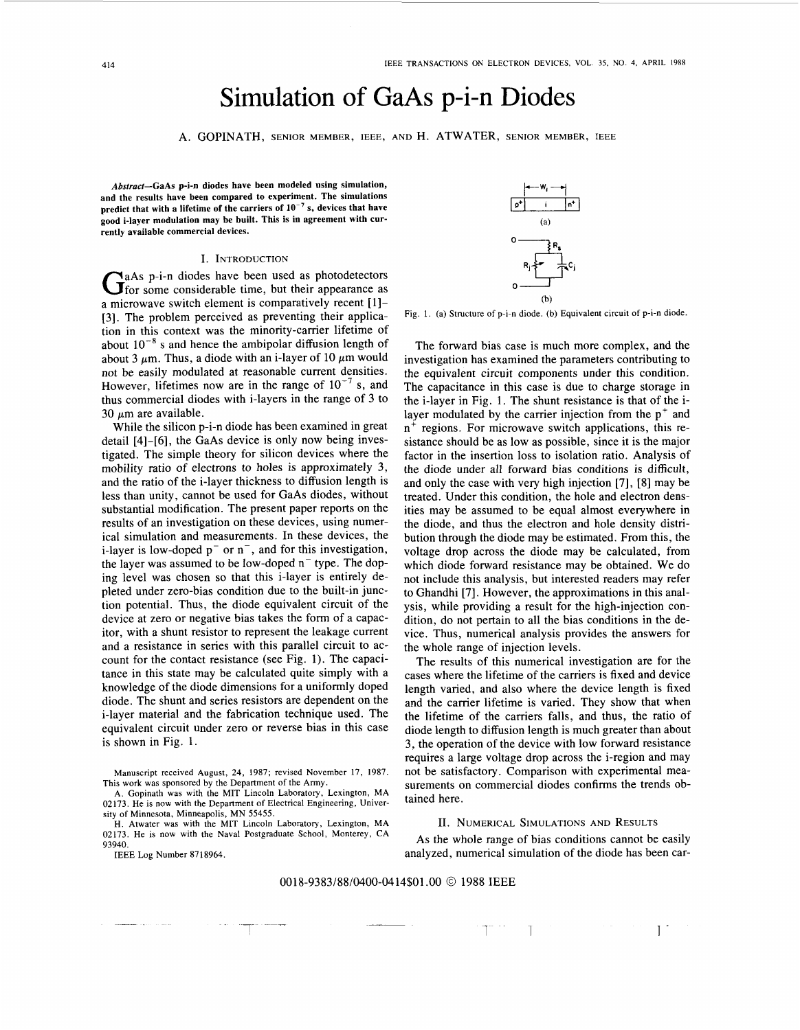# Simulation of GaAs p-i-n Diodes

A. GOPINATH, SENIOR MEMBER, IEEE, AND H. ATWATER, SENIOR MEMBER, IEEE

*Abstract-GaAs* **p-i-n diodes have been modeled using simulation, and the results have been compared to experiment. The simulations**  predict that with a lifetime of the carriers of 10<sup>-7</sup> s, devices that have **good i-layer modulation may be built. This is in agreement with currently available commercial devices.** 

### I. INTRODUCTION

GaAs p-i-n diodes have been used as photodetectors G for some considerable time, but their appearance as a microwave switch element is comparatively recent [1]-[3]. The problem perceived as preventing their application in this context was the minority-carrier lifetime of about 10<sup>-8</sup> s and hence the ambipolar diffusion length of about 3  $\mu$ m. Thus, a diode with an i-layer of 10  $\mu$ m would not be easily modulated at reasonable current densities. However, lifetimes now are in the range of  $10^{-7}$  s, and thus commercial diodes with i-layers in the range of 3 to 30  $\mu$ m are available.

While the silicon p-i-n diode has been examined in great detail [4]-[6], the GaAs device is only now being investigated. The simple theory for silicon devices where the mobility ratio of electrons to holes is approximately **3,**  and the ratio of the i-layer thickness to diffusion length is less than unity, cannot be used for GaAs diodes, without substantial modification. The present paper reports on the results of an investigation on these devices, using numerical simulation and measurements. In these devices, the i-layer is low-doped  $p^{-}$  or  $n^{-}$ , and for this investigation, the layer was assumed to be low-doped  $n^-$  type. The doping level was chosen so that this i-layer is entirely depleted under zero-bias condition due to the built-in junction potential. Thus, the diode equivalent circuit of the device at zero or negative bias takes the form of a capacitor, with a shunt resistor to represent the leakage current and a resistance in series with this parallel circuit to account for the contact resistance (see Fig. **1).** The capacitance in this state may be calculated quite simply with a knowledge of the diode dimensions for a uniformly doped diode. The shunt and series resistors are dependent on the i-layer material and the fabrication technique used. The equivalent circuit under zero or reverse bias in this case is shown in Fig. 1.

Manuscript received August, 24, 1987; revised November 17, 1987. This work was sponsored by the Department of the Army.

H. Atwater was with the MIT Lincoln Laboratory, Lexington, MA 02173. He is now with the Naval Postgraduate School, Monterey, CA 93940.

IEEE Log Number 8718964.



Fig. 1. (a) Structure of p-i-n diode. (b) Equivalent circuit of p-i-n diode.

The forward bias case is much more complex, and the investigation has examined the parameters contributing to the equivalent circuit components under this condition. The capacitance in this case is due to charge storage in the i-layer in Fig. **1.** The shunt resistance is that of the ilayer modulated by the carrier injection from the  $p^+$  and n<sup>+</sup> regions. For microwave switch applications, this resistance should be as low as possible, since it is the major factor in the insertion loss to isolation ratio. Analysis of the diode under all forward bias conditions is difficult, and only the case with very high injection [7], [8] may be treated. Under this condition, the hole and electron densities may be assumed to be equal almost everywhere in the diode, and thus the electron and hole density distribution through the diode may be estimated. From this, the voltage drop across the diode may be calculated, from which diode forward resistance may be obtained. We do not include this analysis, but interested readers may refer to Ghandhi [7]. However, the approximations in this analysis, while providing a result for the high-injection condition, do not pertain to all the bias conditions in the device. Thus, numerical analysis provides the answers for the whole range of injection levels.

The results of this numerical investigation are for the cases where the lifetime of the carriers is fixed and device length varied, and also where the device length is fixed and the carrier lifetime is varied. They show that when the lifetime of the carriers falls, and thus, the ratio of diode length to diffusion length is much greater than about 3, the operation of the device with low forward resistance requires a large voltage drop across the i-region and may not be satisfactory. Comparison with experimental measurements on commercial diodes confirms the trends obtained here.

## II. NUMERICAL SIMULATIONS AND RESULTS

As the whole range of bias conditions cannot be easily analyzed, numerical simulation of the diode has been car-

7 1 -\_\_\_ *7-* 1-

# 0018-9383/88/0400-0414\$01 .OO *O* 1988 IEEE

A. Gopinath was with the MIT Lincoln Laboratory, Lexington, MA 02173. He is now with the Department of Electrical Engineering, University of Minnesota, Minneapolis, MN 55455.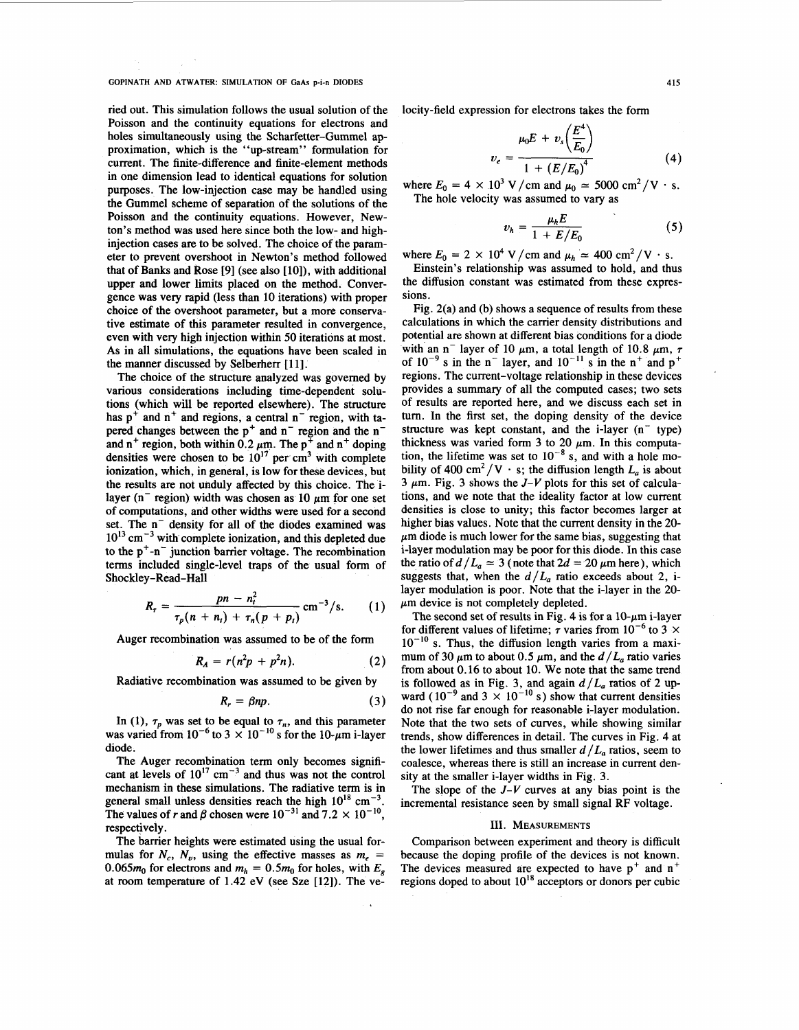**GOPINATH AND ATWATER: SIMULATION OF GaAs p-i-n DIODES 415** 

ried out. This simulation follows the usual solution of the Poisson and the continuity equations for electrons and holes simultaneously using the Scharfetter-Gummel approximation, which is the "up-stream" formulation for current. The finite-difference and finite-element methods in one dimension lead to identical equations for solution purposes. The low-injection case may be handled using the Gummel scheme of separation of the solutions of the Poisson and the continuity equations. However, Newton's method was used here since both the low- and highinjection cases are to be solved. The choice of the parameter to prevent overshoot in Newton's method followed that of **Banks** and Rose [9] (see also [lo]), with additional upper and lower limits placed on the method. Convergence was very rapid (less than 10 iterations) with proper choice of the overshoot parameter, but a more conservative estimate of this parameter resulted in convergence, even with very high injection within *50* iterations at most. As in all simulations, the equations have been scaled in the manner discussed by Selberherr [11].

The choice of the structure analyzed was governed by various considerations including time-dependent solutions (which will be reported elsewhere). The structure has  $p^+$  and  $n^+$  and regions, a central  $n^-$  region, with tapered changes between the  $p^+$  and  $n^-$  region and the n<sup>-</sup> and n<sup>+</sup> region, both within 0.2  $\mu$ m. The p<sup>+</sup> and n<sup>+</sup> doping densities were chosen to be  $10^{17}$  per cm<sup>3</sup> with complete ionization, which, in general, is low for these devices, but the results are not unduly affected by this choice. The ilayer ( $n^-$  region) width was chosen as 10  $\mu$ m for one set of computations, and other widths were used for a second set. The n<sup>-</sup> density for all of the diodes examined was  $10^{13}$  cm<sup>-3</sup> with complete ionization, and this depleted due to the  $p^+$ -n<sup>-</sup> junction barrier voltage. The recombination terms included single-level traps of the usual form of Shockley -Read-Hall

$$
R_{\tau} = \frac{pn - n_t^2}{\tau_p(n + n_t) + \tau_n(p + p_t)} \, \text{cm}^{-3}/\text{s}. \qquad (1)
$$

Auger recombination was assumed to be of the form

$$
R_A = r(n^2p + p^2n). \tag{2}
$$

Radiative recombination was assumed to be given by

$$
R_r = \beta np. \tag{3}
$$

In (1),  $\tau_p$  was set to be equal to  $\tau_n$ , and this parameter was varied from  $10^{-6}$  to  $3 \times 10^{-10}$  s for the 10- $\mu$ m i-layer diode.

The Auger recombination term only becomes significant at levels of  $10^{17}$  cm<sup>-3</sup> and thus was not the control mechanism in these simulations. The radiative term is in general small unless densities reach the high  $10^{18}$  cm<sup>-3</sup>. The values of *r* and  $\beta$  chosen were  $10^{-31}$  and  $7.2 \times 10^{-10}$ . respectively.

The barrier heights were estimated using the usual formulas for  $N_c$ ,  $N_v$ , using the effective masses as  $m_e$  = 0.065 $m_0$  for electrons and  $m_h = 0.5m_0$  for holes, with  $E_g$ at room temperature of 1.42 eV (see Sze [12]). The velocity-field expression for electrons takes the form

$$
v_e = \frac{\mu_0 E + v_s \left(\frac{E^4}{E_0}\right)}{1 + \left(E/E_0\right)^4}
$$
(4)

where  $E_0 = 4 \times 10^3 \text{ V/cm}$  and  $\mu_0 \approx 5000 \text{ cm}^2/\text{V} \cdot \text{s}.$ The hole velocity was assumed to vary as

$$
v_h = \frac{\mu_h E}{1 + E/E_0} \tag{5}
$$

where  $E_0 = 2 \times 10^4$  V/cm and  $\mu_h \approx 400$  cm<sup>2</sup>/V  $\cdot$  s.

Einstein's relationship was assumed to hold, and thus the diffusion constant was estimated from these expressions.

Fig. 2(a) and (b) shows a sequence of results from these calculations in which the carrier density distributions and potential are shown at different bias conditions for a diode with an n<sup>-</sup> layer of 10  $\mu$ m, a total length of 10.8  $\mu$ m,  $\tau$ of  $10^{-9}$  s in the n<sup>-</sup> layer, and  $10^{-11}$  s in the n<sup>+</sup> and p<sup>+</sup> regions. The current-voltage relationship in these devices provides a summary of all the computed cases; two sets of results are reported here, and we discuss each set in turn. In the first set, the doping density of the device structure was kept constant, and the  $i$ -layer (n<sup>-</sup> type) thickness was varied form 3 to 20  $\mu$ m. In this computation, the lifetime was set to  $10^{-8}$  s, and with a hole mobility of 400 cm<sup>2</sup>/V  $\cdot$  s; the diffusion length  $L_a$  is about  $3 \mu$ m. [Fig. 3](#page-2-0) shows the  $J-V$  plots for this set of calculations, and we note that the ideality factor at low current densities is close to unity; this factor becomes larger at higher bias values. Note that the current density in the 20-  $\mu$ m diode is much lower for the same bias, suggesting that i-layer modulation may be poor for this diode. In this case the ratio of  $d/L_a \approx 3$  (note that  $2d = 20 \,\mu\text{m}$  here), which suggests that, when the  $d/L_a$  ratio exceeds about 2, ilayer modulation is poor. Note that the i-layer in the 20-  $\mu$ m device is not completely depleted.

The second set of results in [Fig.](#page-2-0) 4 is for a  $10$ - $\mu$ m i-layer for different values of lifetime;  $\tau$  varies from 10<sup>-6</sup> to 3  $\times$  $10^{-10}$  s. Thus, the diffusion length varies from a maximum of 30  $\mu$ m to about 0.5  $\mu$ m, and the  $d/L_a$  ratio varies from about 0.16 to about 10. We note that the same trend is followed as in Fig. 3, and again  $d/L_a$  ratios of 2 upward ( $10^{-9}$  and 3  $\times$   $10^{-10}$  s) show that current densities do not rise far enough for reasonable i-layer modulation. Note that the two sets of curves, while showing similar trends, show differences in detail. The curves in [Fig.](#page-2-0) **4** at the lower lifetimes and thus smaller  $d/L_a$  ratios, seem to coalesce, whereas there is still an increase in current density at the smaller i-layer widths in [Fig. 3.](#page-2-0)

The slope of the *J-V* curves at any bias point is the incremental resistance seen by small signal **RF** voltage.

#### **111.** MEASUREMENTS

Comparison between experiment and theory is difficult because the doping profile of the devices is not known. The devices measured are expected to have  $p^+$  and  $n^+$ regions doped to about  $10^{18}$  acceptors or donors per cubic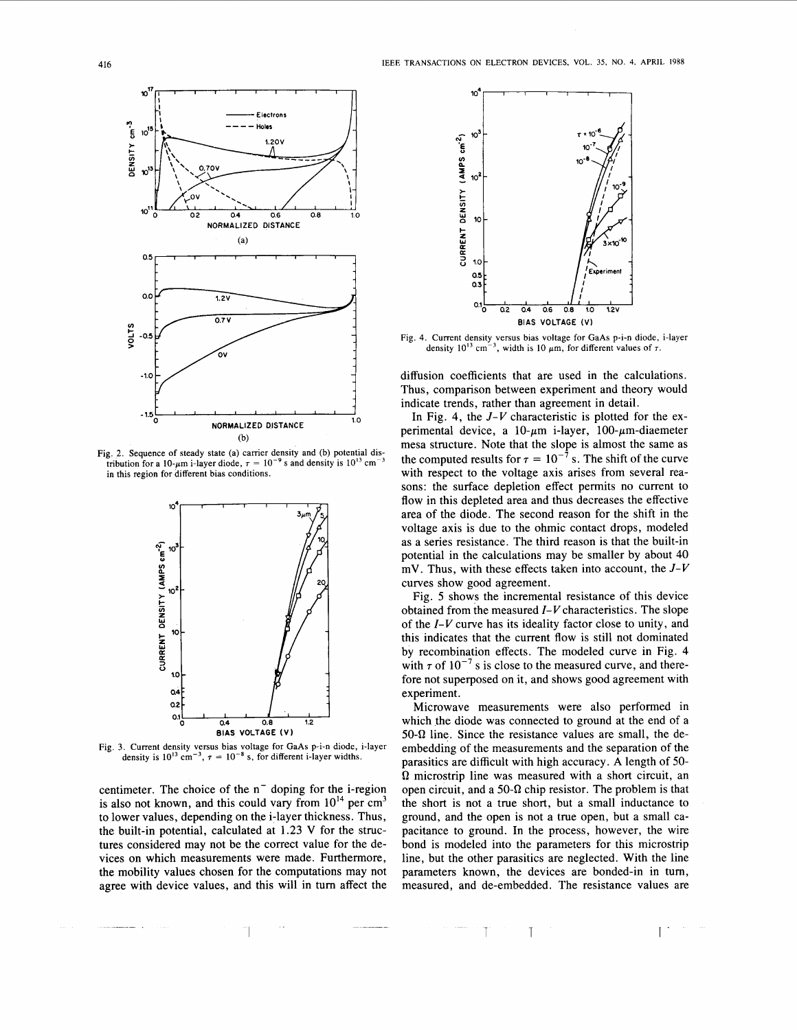

Fig. 2. Sequence of steady state (a) carrier density and (b) potential dis**tribution for a 10-** $\mu$ m **i-layer diode,**  $\tau = 10^{-9}$  **s** and density is  $10^{13}$  cm **in this region for different bias conditions.** 



Fig. 3. Current density versus bias voltage for GaAs p-i-n diode, i-layer density is  $10^{13}$  cm<sup>-3</sup>,  $\tau = 10^{-8}$  s, for different i-layer widths.

centimeter. The choice of the  $n^{-}$  doping for the i-region is also not known, and this could vary from  $10^{14}$  per  $cm<sup>3</sup>$ to lower values, depending on the i-layer thickness. Thus, the built-in potential, calculated at 1.23 V for the structures considered may not be the correct value for the devices on which measurements were made. Furthermore, the mobility values chosen for the computations may not agree with device values, and this will in turn affect the

I <sup>1</sup>T 1- -- -

<span id="page-2-0"></span>

**Fig. 4. Current density versus bias voltage for GaAs p-i-n diode, i-layer density**  $10^{13}$  **cm<sup>-3</sup>, width is 10**  $\mu$ **m, for different values of**  $\tau$ **.** 

diffusion coefficients that are used in the calculations. Thus, comparison between experiment and theory would indicate trends, rather than agreement in detail.

In Fig. **4,** the *J-V* characteristic is plotted for the experimental device, a  $10$ - $\mu$ m i-layer,  $100$ - $\mu$ m-diaemeter mesa structure. Note that the slope is almost the same as the computed results for  $\tau = 10^{-7}$  s. The shift of the curve with respect to the voltage axis arises from several reasons: the surface depletion effect permits no current to flow in this depleted area and thus decreases the effective area of the diode. The second reason for the shift in the voltage axis is due to the ohmic contact drops, modeled as a series resistance. The third reason is that the built-in potential in the calculations may be smaller by about 40 mV. Thus, with these effects taken into account, the *J-V*  curves show good agreement.

Fig. 5 shows the incremental resistance of this device obtained from the measured *I- V* characteristics. The slope of the *I-V* curve has its ideality factor close to unity, and this indicates that the current flow is still not dominated by recombination effects. The modeled curve in Fig. **4**  with  $\tau$  of 10<sup>-7</sup> s is close to the measured curve, and therefore not superposed on it, and shows good agreement with experiment.

Microwave measurements were also performed in which the diode was connected to ground at the end of a  $50-\Omega$  line. Since the resistance values are small, the deembedding of the measurements and the separation of the parasitics are difficult with high accuracy. **A** length of *50- Q* microstrip line was measured with a short circuit, an open circuit, and a 50- $\Omega$  chip resistor. The problem is that the short is not a true short, but a small inductance to ground, and the open is not a true open, but a small capacitance to ground. In the process, however, the wire bond is modeled into the parameters for this microstrip line, but the other parasitics are neglected. With the line parameters known, the devices are bonded-in in turn, measured, and de-embedded. The resistance values are